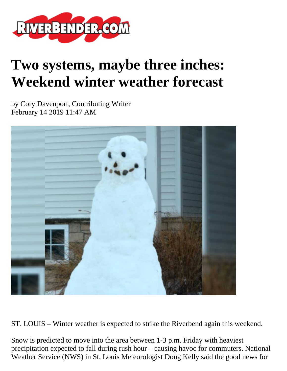

## **Two systems, maybe three inches: Weekend winter weather forecast**

by Cory Davenport, Contributing Writer February 14 2019 11:47 AM



ST. LOUIS – Winter weather is expected to strike the Riverbend again this weekend.

Snow is predicted to move into the area between 1-3 p.m. Friday with heaviest precipitation expected to fall during rush hour – causing havoc for commuters. National Weather Service (NWS) in St. Louis Meteorologist Doug Kelly said the good news for